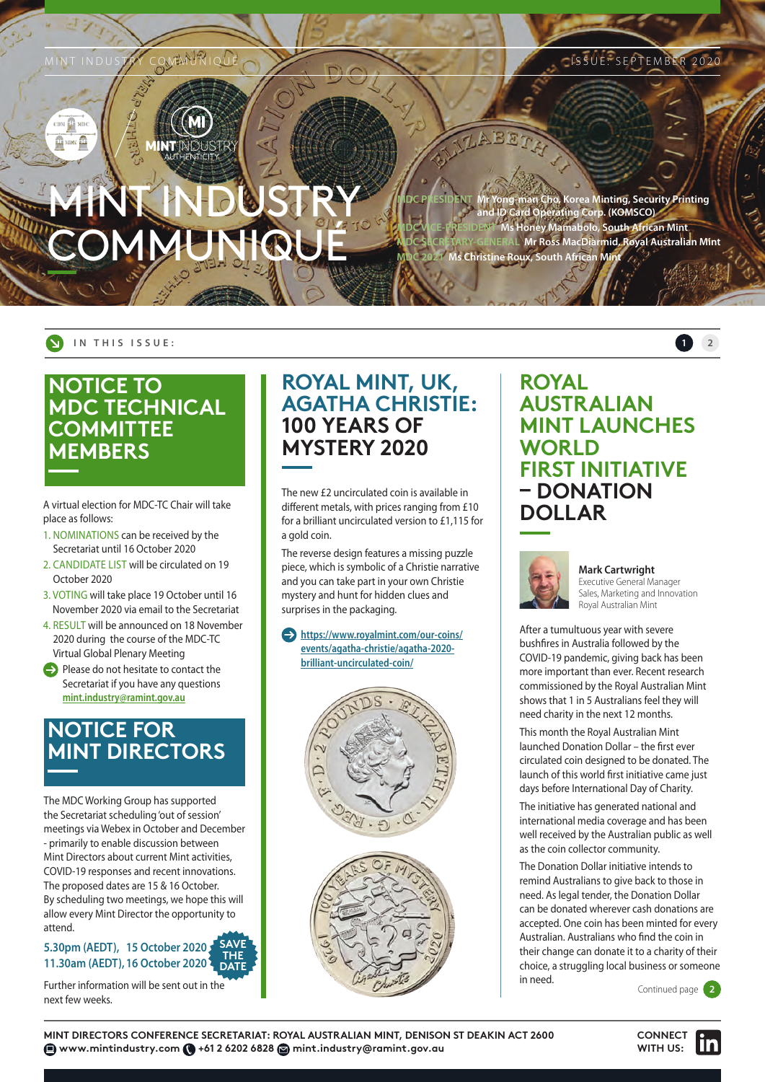# <span id="page-0-0"></span>MINT INDUSTRY COMMUNIQUÉ

**Korea Minting, Security Printing and ID Card Operating Corp. (KOMSCO) Mamabolo, South African Mint Mr Ross MacDiarmid, Royal Australian Mint Christine Roux, South African Mint** 

#### **IN THIS ISSUE: 1 [2](#page-1-0)**

# **NOTICE TO MDC TECHNICAL COMMITTEE MEMBERS**

A virtual election for MDC-TC Chair will take place as follows:

- 1. NOMINATIONS can be received by the Secretariat until 16 October 2020
- 2. CANDIDATE LIST will be circulated on 19 October 2020
- 3. VOTING will take place 19 October until 16 November 2020 via email to the Secretariat
- 4. RESULT will be announced on 18 November 2020 during the course of the MDC-TC Virtual Global Plenary Meeting
- $\ominus$  Please do not hesitate to contact the Secretariat if you have any questions **[mint.industry@ramint.gov.au](mailto:mint.industry%40ramint.gov.au?subject=)**

# **NOTICE FOR MINT DIRECTORS**

The MDC Working Group has supported the Secretariat scheduling 'out of session' meetings via Webex in October and December - primarily to enable discussion between Mint Directors about current Mint activities, COVID-19 responses and recent innovations. The proposed dates are 15 & 16 October. By scheduling two meetings, we hope this will allow every Mint Director the opportunity to attend.

#### **5.30pm (AEDT), 15 October 2020 11.30am (AEDT),16 October 2020 SAVE THE DATE**

Further information will be sent out in the next few weeks.

# **ROYAL MINT, UK, AGATHA CHRISTIE: 100 YEARS OF MYSTERY 2020**

The new £2 uncirculated coin is available in different metals, with prices ranging from £10 for a brilliant uncirculated version to £1,115 for a gold coin.

The reverse design features a missing puzzle piece, which is symbolic of a Christie narrative and you can take part in your own Christie mystery and hunt for hidden clues and surprises in the packaging.

 **[https://www.royalmint.com/our-coins/](https://www.royalmint.com/our-coins/events/agatha-christie/agatha-2020-brilliant-uncirculated-coin/) [events/agatha-christie/agatha-2020](https://www.royalmint.com/our-coins/events/agatha-christie/agatha-2020-brilliant-uncirculated-coin/) [brilliant-uncirculated-coin/](https://www.royalmint.com/our-coins/events/agatha-christie/agatha-2020-brilliant-uncirculated-coin/)**



## **ROYAL AUSTRALIAN MINT LAUNCHES WORLD FIRST INITIATIVE – DONATION DOLLAR**



## **Mark Cartwright**

Executive General Manager Sales, Marketing and Innovation Royal Australian Mint

After a tumultuous year with severe bushfires in Australia followed by the COVID-19 pandemic, giving back has been more important than ever. Recent research commissioned by the Royal Australian Mint shows that 1 in 5 Australians feel they will need charity in the next 12 months.

This month the Royal Australian Mint launched Donation Dollar – the first ever circulated coin designed to be donated. The launch of this world first initiative came just days before International Day of Charity.

The initiative has generated national and international media coverage and has been well received by the Australian public as well as the coin collector community.

The Donation Dollar initiative intends to remind Australians to give back to those in need. As legal tender, the Donation Dollar can be donated wherever cash donations are accepted. One coin has been minted for every Australian. Australians who find the coin in their change can donate it to a charity of their choice, a struggling local business or someone in need.

Continued page **[2](#page-1-0)**